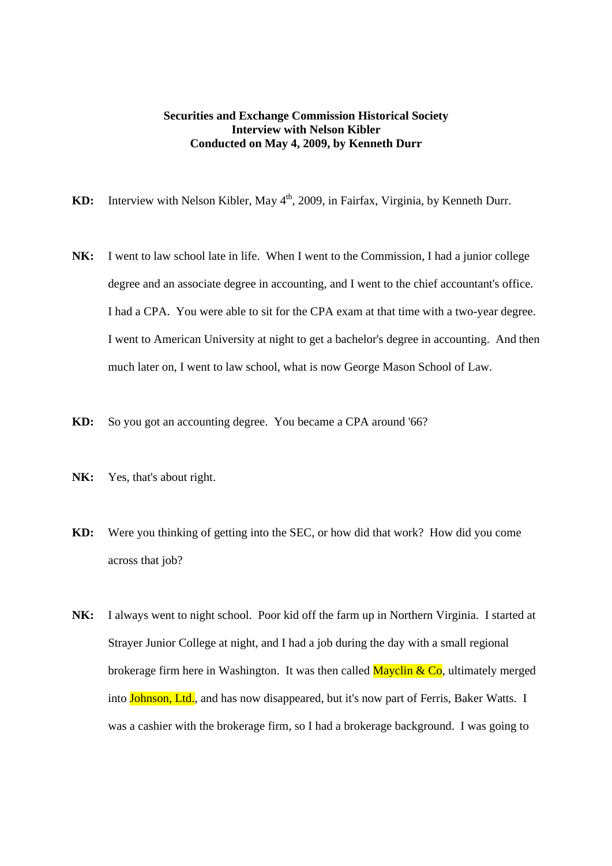## **Securities and Exchange Commission Historical Society Interview with Nelson Kibler Conducted on May 4, 2009, by Kenneth Durr**

- KD: Interview with Nelson Kibler, May 4<sup>th</sup>, 2009, in Fairfax, Virginia, by Kenneth Durr.
- **NK:** I went to law school late in life. When I went to the Commission, I had a junior college degree and an associate degree in accounting, and I went to the chief accountant's office. I had a CPA. You were able to sit for the CPA exam at that time with a two-year degree. I went to American University at night to get a bachelor's degree in accounting. And then much later on, I went to law school, what is now George Mason School of Law.
- **KD:** So you got an accounting degree. You became a CPA around '66?
- **NK:** Yes, that's about right.
- **KD:** Were you thinking of getting into the SEC, or how did that work? How did you come across that job?
- **NK:** I always went to night school. Poor kid off the farm up in Northern Virginia. I started at Strayer Junior College at night, and I had a job during the day with a small regional brokerage firm here in Washington. It was then called  $Mayclin \& Co$ , ultimately merged into Johnson, Ltd., and has now disappeared, but it's now part of Ferris, Baker Watts. I was a cashier with the brokerage firm, so I had a brokerage background. I was going to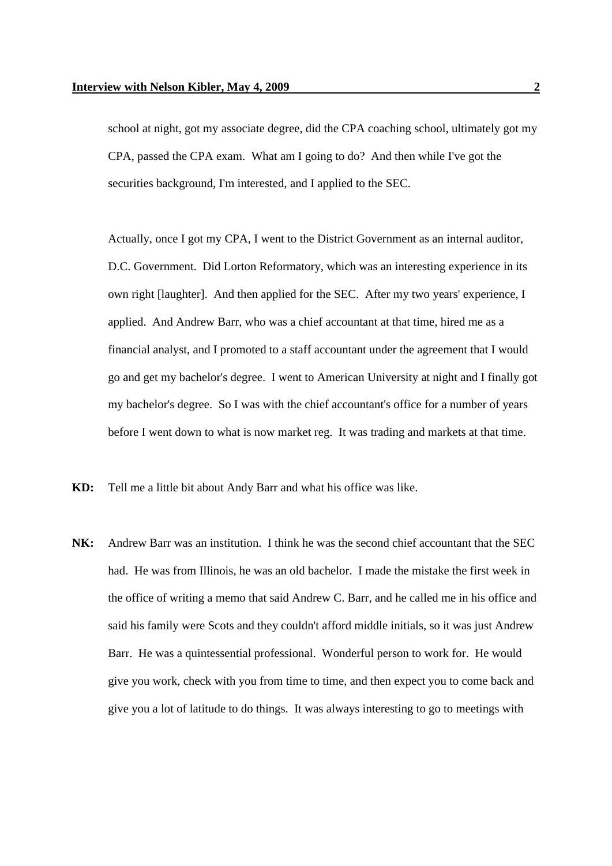school at night, got my associate degree, did the CPA coaching school, ultimately got my CPA, passed the CPA exam. What am I going to do? And then while I've got the securities background, I'm interested, and I applied to the SEC.

Actually, once I got my CPA, I went to the District Government as an internal auditor, D.C. Government. Did Lorton Reformatory, which was an interesting experience in its own right [laughter]. And then applied for the SEC. After my two years' experience, I applied. And Andrew Barr, who was a chief accountant at that time, hired me as a financial analyst, and I promoted to a staff accountant under the agreement that I would go and get my bachelor's degree. I went to American University at night and I finally got my bachelor's degree. So I was with the chief accountant's office for a number of years before I went down to what is now market reg. It was trading and markets at that time.

- **KD:** Tell me a little bit about Andy Barr and what his office was like.
- **NK:** Andrew Barr was an institution. I think he was the second chief accountant that the SEC had. He was from Illinois, he was an old bachelor. I made the mistake the first week in the office of writing a memo that said Andrew C. Barr, and he called me in his office and said his family were Scots and they couldn't afford middle initials, so it was just Andrew Barr. He was a quintessential professional. Wonderful person to work for. He would give you work, check with you from time to time, and then expect you to come back and give you a lot of latitude to do things. It was always interesting to go to meetings with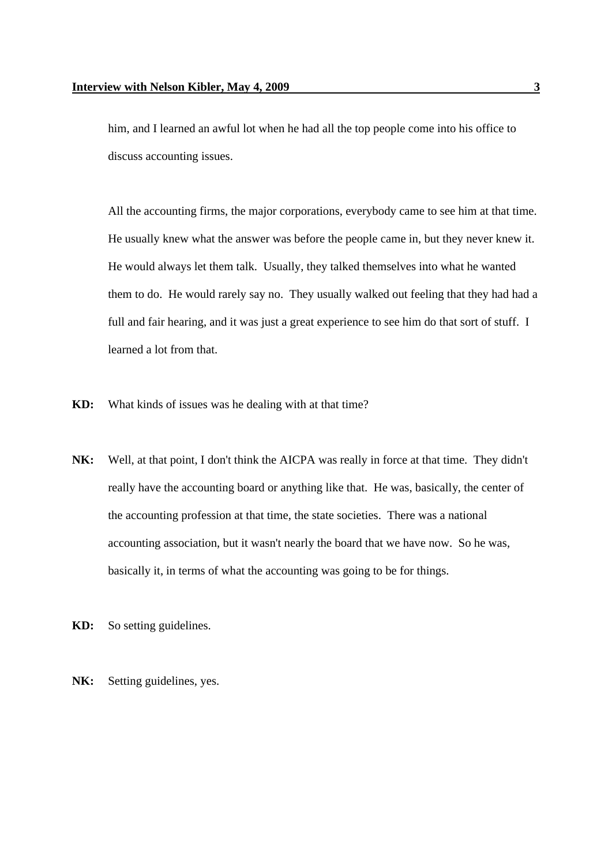him, and I learned an awful lot when he had all the top people come into his office to discuss accounting issues.

All the accounting firms, the major corporations, everybody came to see him at that time. He usually knew what the answer was before the people came in, but they never knew it. He would always let them talk. Usually, they talked themselves into what he wanted them to do. He would rarely say no. They usually walked out feeling that they had had a full and fair hearing, and it was just a great experience to see him do that sort of stuff. I learned a lot from that.

- **KD:** What kinds of issues was he dealing with at that time?
- **NK:** Well, at that point, I don't think the AICPA was really in force at that time. They didn't really have the accounting board or anything like that. He was, basically, the center of the accounting profession at that time, the state societies. There was a national accounting association, but it wasn't nearly the board that we have now. So he was, basically it, in terms of what the accounting was going to be for things.
- **KD:** So setting guidelines.
- NK: Setting guidelines, yes.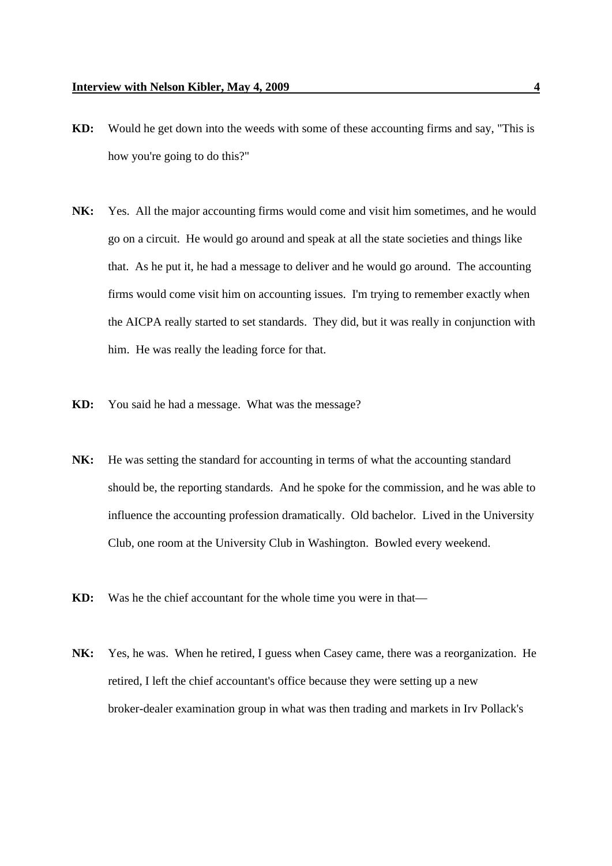- **KD:** Would he get down into the weeds with some of these accounting firms and say, "This is how you're going to do this?"
- **NK:** Yes. All the major accounting firms would come and visit him sometimes, and he would go on a circuit. He would go around and speak at all the state societies and things like that. As he put it, he had a message to deliver and he would go around. The accounting firms would come visit him on accounting issues. I'm trying to remember exactly when the AICPA really started to set standards. They did, but it was really in conjunction with him. He was really the leading force for that.
- **KD:** You said he had a message. What was the message?
- NK: He was setting the standard for accounting in terms of what the accounting standard should be, the reporting standards. And he spoke for the commission, and he was able to influence the accounting profession dramatically. Old bachelor. Lived in the University Club, one room at the University Club in Washington. Bowled every weekend.
- **KD:** Was he the chief accountant for the whole time you were in that—
- **NK:** Yes, he was. When he retired, I guess when Casey came, there was a reorganization. He retired, I left the chief accountant's office because they were setting up a new broker-dealer examination group in what was then trading and markets in Irv Pollack's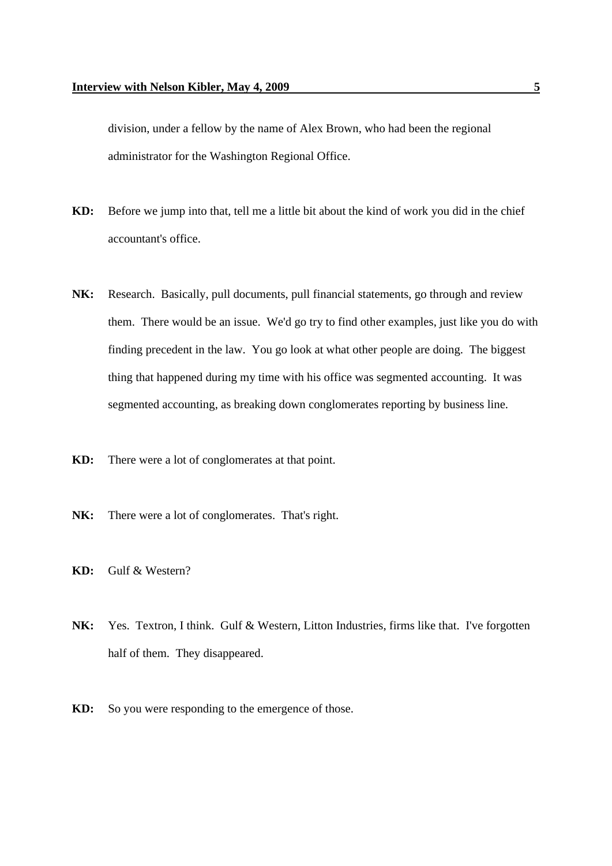division, under a fellow by the name of Alex Brown, who had been the regional administrator for the Washington Regional Office.

- **KD:** Before we jump into that, tell me a little bit about the kind of work you did in the chief accountant's office.
- **NK:** Research. Basically, pull documents, pull financial statements, go through and review them. There would be an issue. We'd go try to find other examples, just like you do with finding precedent in the law. You go look at what other people are doing. The biggest thing that happened during my time with his office was segmented accounting. It was segmented accounting, as breaking down conglomerates reporting by business line.
- **KD:** There were a lot of conglomerates at that point.
- **NK:** There were a lot of conglomerates. That's right.
- **KD:** Gulf & Western?
- **NK:** Yes. Textron, I think. Gulf & Western, Litton Industries, firms like that. I've forgotten half of them. They disappeared.
- **KD:** So you were responding to the emergence of those.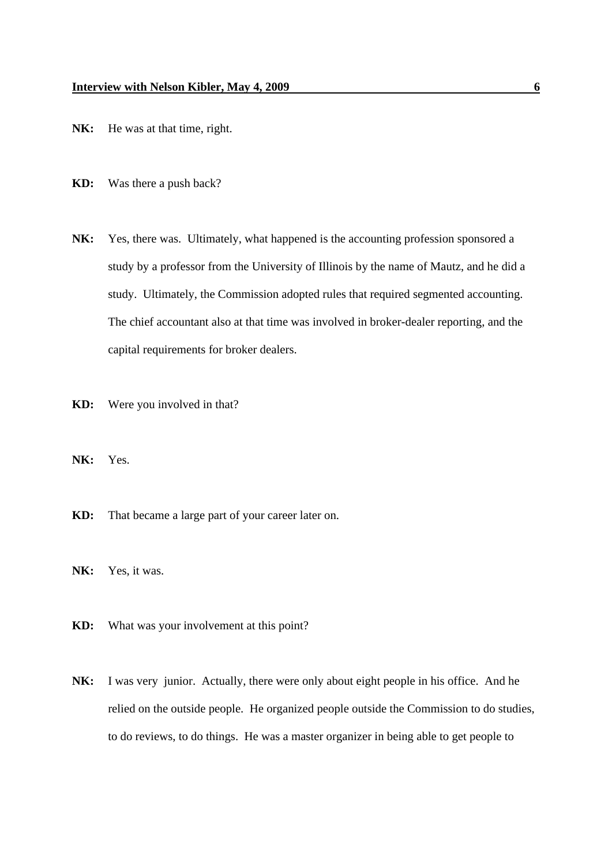- NK: He was at that time, right.
- **KD:** Was there a push back?
- NK: Yes, there was. Ultimately, what happened is the accounting profession sponsored a study by a professor from the University of Illinois by the name of Mautz, and he did a study. Ultimately, the Commission adopted rules that required segmented accounting. The chief accountant also at that time was involved in broker-dealer reporting, and the capital requirements for broker dealers.
- **KD:** Were you involved in that?
- **NK:** Yes.
- **KD:** That became a large part of your career later on.
- NK: Yes, it was.
- **KD:** What was your involvement at this point?
- **NK:** I was very junior. Actually, there were only about eight people in his office. And he relied on the outside people. He organized people outside the Commission to do studies, to do reviews, to do things. He was a master organizer in being able to get people to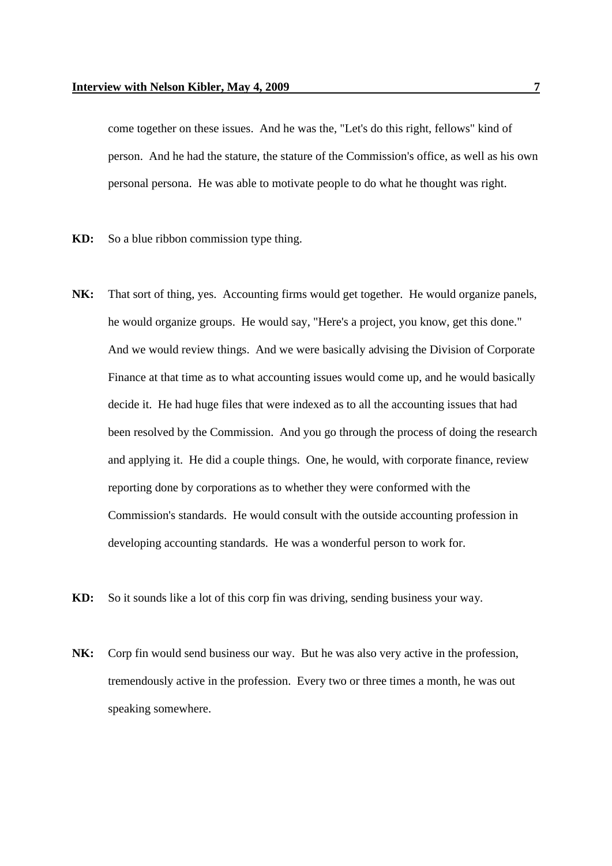come together on these issues. And he was the, "Let's do this right, fellows" kind of person. And he had the stature, the stature of the Commission's office, as well as his own personal persona. He was able to motivate people to do what he thought was right.

- **KD:** So a blue ribbon commission type thing.
- **NK:** That sort of thing, yes. Accounting firms would get together. He would organize panels, he would organize groups. He would say, "Here's a project, you know, get this done." And we would review things. And we were basically advising the Division of Corporate Finance at that time as to what accounting issues would come up, and he would basically decide it. He had huge files that were indexed as to all the accounting issues that had been resolved by the Commission. And you go through the process of doing the research and applying it. He did a couple things. One, he would, with corporate finance, review reporting done by corporations as to whether they were conformed with the Commission's standards. He would consult with the outside accounting profession in developing accounting standards. He was a wonderful person to work for.
- **KD:** So it sounds like a lot of this corp fin was driving, sending business your way.
- **NK:** Corp fin would send business our way. But he was also very active in the profession, tremendously active in the profession. Every two or three times a month, he was out speaking somewhere.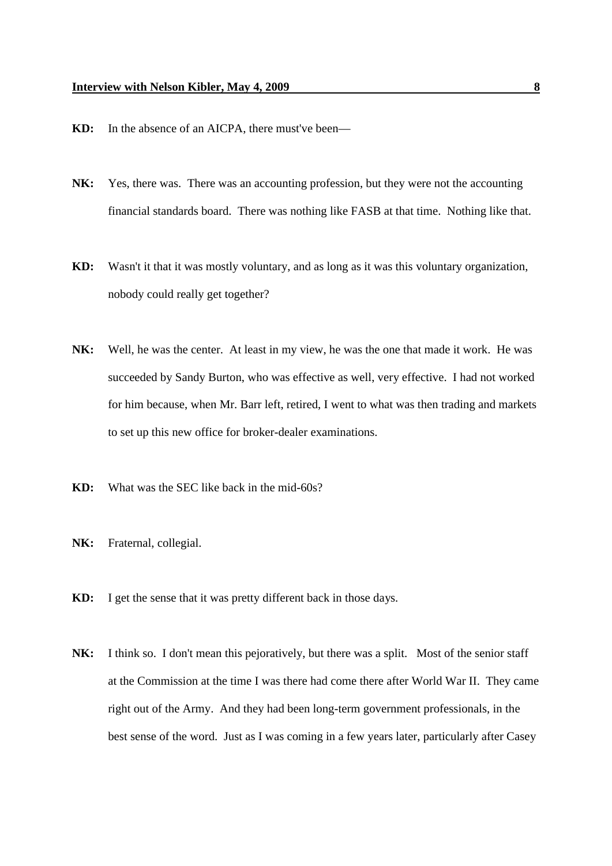- **KD:** In the absence of an AICPA, there must've been—
- **NK:** Yes, there was. There was an accounting profession, but they were not the accounting financial standards board. There was nothing like FASB at that time. Nothing like that.
- **KD:** Wasn't it that it was mostly voluntary, and as long as it was this voluntary organization, nobody could really get together?
- **NK:** Well, he was the center. At least in my view, he was the one that made it work. He was succeeded by Sandy Burton, who was effective as well, very effective. I had not worked for him because, when Mr. Barr left, retired, I went to what was then trading and markets to set up this new office for broker-dealer examinations.
- **KD:** What was the SEC like back in the mid-60s?
- **NK:** Fraternal, collegial.
- **KD:** I get the sense that it was pretty different back in those days.
- **NK:** I think so. I don't mean this pejoratively, but there was a split. Most of the senior staff at the Commission at the time I was there had come there after World War II. They came right out of the Army. And they had been long-term government professionals, in the best sense of the word. Just as I was coming in a few years later, particularly after Casey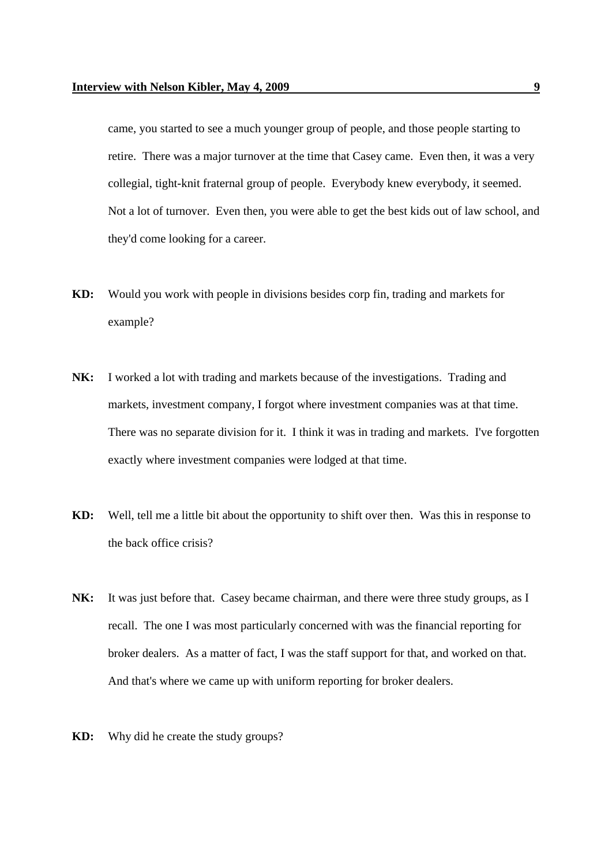came, you started to see a much younger group of people, and those people starting to retire. There was a major turnover at the time that Casey came. Even then, it was a very collegial, tight-knit fraternal group of people. Everybody knew everybody, it seemed. Not a lot of turnover. Even then, you were able to get the best kids out of law school, and they'd come looking for a career.

- **KD:** Would you work with people in divisions besides corp fin, trading and markets for example?
- **NK:** I worked a lot with trading and markets because of the investigations. Trading and markets, investment company, I forgot where investment companies was at that time. There was no separate division for it. I think it was in trading and markets. I've forgotten exactly where investment companies were lodged at that time.
- **KD:** Well, tell me a little bit about the opportunity to shift over then. Was this in response to the back office crisis?
- NK: It was just before that. Casey became chairman, and there were three study groups, as I recall. The one I was most particularly concerned with was the financial reporting for broker dealers. As a matter of fact, I was the staff support for that, and worked on that. And that's where we came up with uniform reporting for broker dealers.
- **KD:** Why did he create the study groups?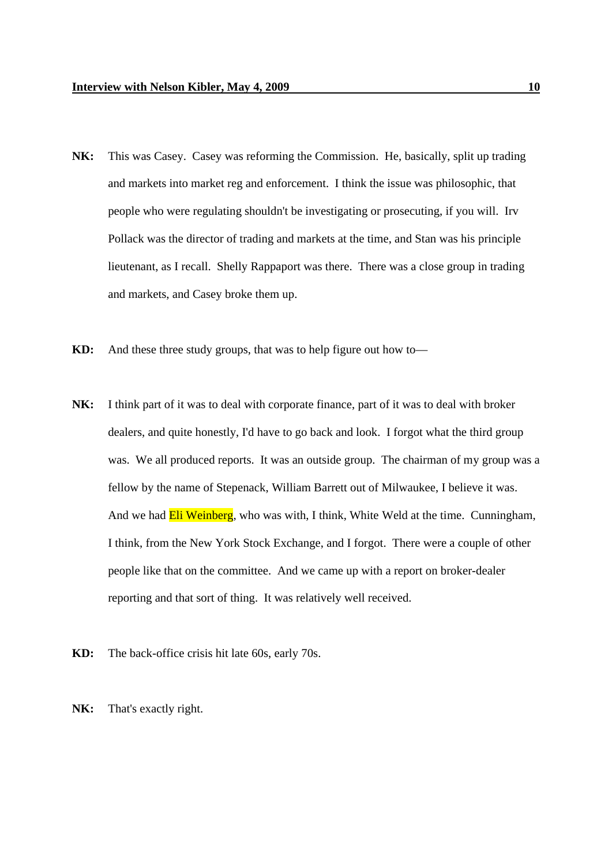- **NK:** This was Casey. Casey was reforming the Commission. He, basically, split up trading and markets into market reg and enforcement. I think the issue was philosophic, that people who were regulating shouldn't be investigating or prosecuting, if you will. Irv Pollack was the director of trading and markets at the time, and Stan was his principle lieutenant, as I recall. Shelly Rappaport was there. There was a close group in trading and markets, and Casey broke them up.
- **KD:** And these three study groups, that was to help figure out how to—
- **NK:** I think part of it was to deal with corporate finance, part of it was to deal with broker dealers, and quite honestly, I'd have to go back and look. I forgot what the third group was. We all produced reports. It was an outside group. The chairman of my group was a fellow by the name of Stepenack, William Barrett out of Milwaukee, I believe it was. And we had **Eli Weinberg**, who was with, I think, White Weld at the time. Cunningham, I think, from the New York Stock Exchange, and I forgot. There were a couple of other people like that on the committee. And we came up with a report on broker-dealer reporting and that sort of thing. It was relatively well received.
- **KD:** The back-office crisis hit late 60s, early 70s.
- **NK:** That's exactly right.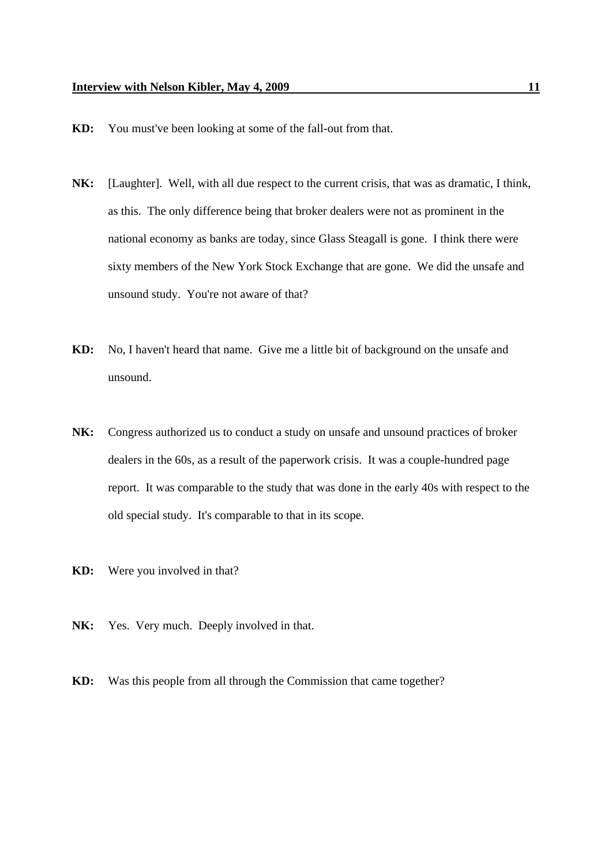- **KD:** You must've been looking at some of the fall-out from that.
- **NK:** [Laughter]. Well, with all due respect to the current crisis, that was as dramatic, I think, as this. The only difference being that broker dealers were not as prominent in the national economy as banks are today, since Glass Steagall is gone. I think there were sixty members of the New York Stock Exchange that are gone. We did the unsafe and unsound study. You're not aware of that?
- **KD:** No, I haven't heard that name. Give me a little bit of background on the unsafe and unsound.
- **NK:** Congress authorized us to conduct a study on unsafe and unsound practices of broker dealers in the 60s, as a result of the paperwork crisis. It was a couple-hundred page report. It was comparable to the study that was done in the early 40s with respect to the old special study. It's comparable to that in its scope.
- **KD:** Were you involved in that?
- NK: Yes. Very much. Deeply involved in that.
- **KD:** Was this people from all through the Commission that came together?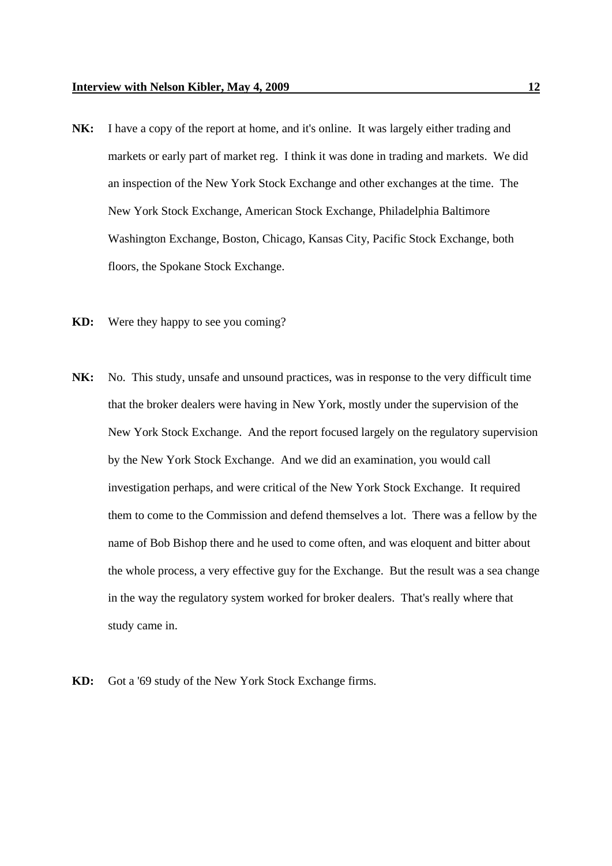- **NK:** I have a copy of the report at home, and it's online. It was largely either trading and markets or early part of market reg. I think it was done in trading and markets. We did an inspection of the New York Stock Exchange and other exchanges at the time. The New York Stock Exchange, American Stock Exchange, Philadelphia Baltimore Washington Exchange, Boston, Chicago, Kansas City, Pacific Stock Exchange, both floors, the Spokane Stock Exchange.
- **KD:** Were they happy to see you coming?
- **NK:** No. This study, unsafe and unsound practices, was in response to the very difficult time that the broker dealers were having in New York, mostly under the supervision of the New York Stock Exchange. And the report focused largely on the regulatory supervision by the New York Stock Exchange. And we did an examination, you would call investigation perhaps, and were critical of the New York Stock Exchange. It required them to come to the Commission and defend themselves a lot. There was a fellow by the name of Bob Bishop there and he used to come often, and was eloquent and bitter about the whole process, a very effective guy for the Exchange. But the result was a sea change in the way the regulatory system worked for broker dealers. That's really where that study came in.
- **KD:** Got a '69 study of the New York Stock Exchange firms.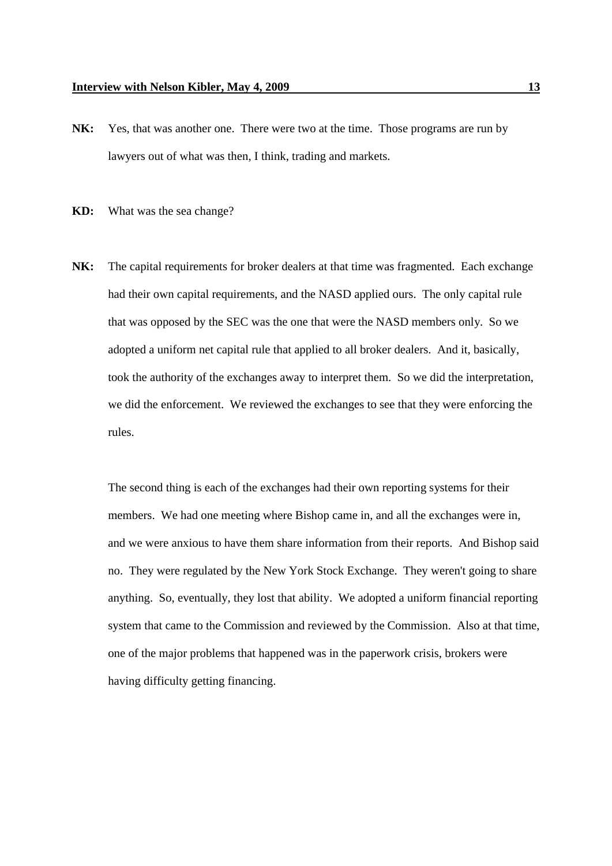NK: Yes, that was another one. There were two at the time. Those programs are run by lawyers out of what was then, I think, trading and markets.

**KD:** What was the sea change?

**NK:** The capital requirements for broker dealers at that time was fragmented. Each exchange had their own capital requirements, and the NASD applied ours. The only capital rule that was opposed by the SEC was the one that were the NASD members only. So we adopted a uniform net capital rule that applied to all broker dealers. And it, basically, took the authority of the exchanges away to interpret them. So we did the interpretation, we did the enforcement. We reviewed the exchanges to see that they were enforcing the rules.

The second thing is each of the exchanges had their own reporting systems for their members. We had one meeting where Bishop came in, and all the exchanges were in, and we were anxious to have them share information from their reports. And Bishop said no. They were regulated by the New York Stock Exchange. They weren't going to share anything. So, eventually, they lost that ability. We adopted a uniform financial reporting system that came to the Commission and reviewed by the Commission. Also at that time, one of the major problems that happened was in the paperwork crisis, brokers were having difficulty getting financing.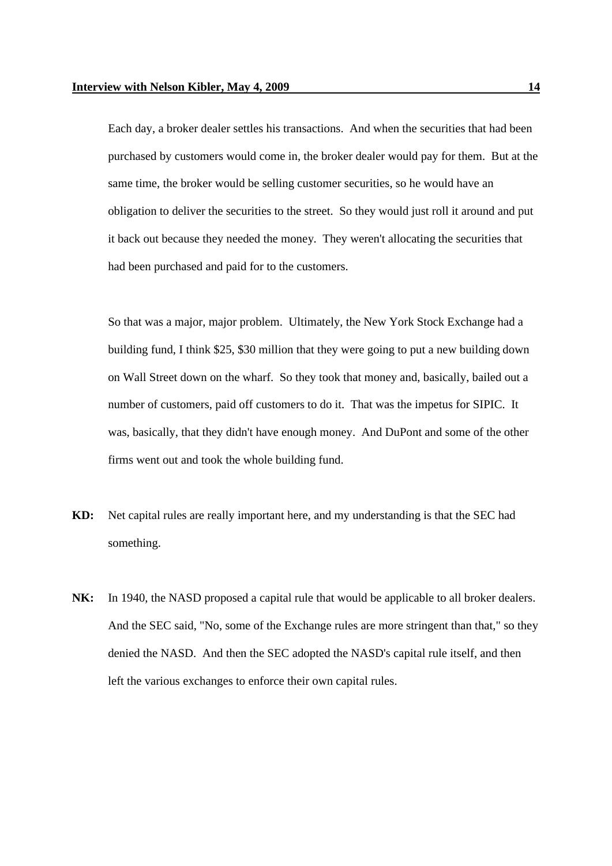Each day, a broker dealer settles his transactions. And when the securities that had been purchased by customers would come in, the broker dealer would pay for them. But at the same time, the broker would be selling customer securities, so he would have an obligation to deliver the securities to the street. So they would just roll it around and put it back out because they needed the money. They weren't allocating the securities that had been purchased and paid for to the customers.

So that was a major, major problem. Ultimately, the New York Stock Exchange had a building fund, I think \$25, \$30 million that they were going to put a new building down on Wall Street down on the wharf. So they took that money and, basically, bailed out a number of customers, paid off customers to do it. That was the impetus for SIPIC. It was, basically, that they didn't have enough money. And DuPont and some of the other firms went out and took the whole building fund.

- **KD:** Net capital rules are really important here, and my understanding is that the SEC had something.
- **NK:** In 1940, the NASD proposed a capital rule that would be applicable to all broker dealers. And the SEC said, "No, some of the Exchange rules are more stringent than that," so they denied the NASD. And then the SEC adopted the NASD's capital rule itself, and then left the various exchanges to enforce their own capital rules.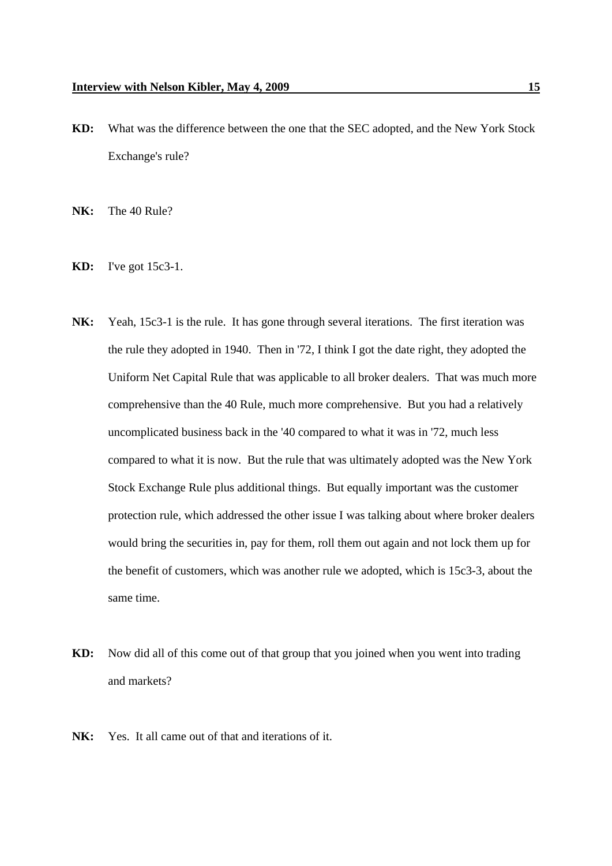- **KD:** What was the difference between the one that the SEC adopted, and the New York Stock Exchange's rule?
- **NK:** The 40 Rule?
- **KD:** I've got 15c3-1.
- NK: Yeah, 15c3-1 is the rule. It has gone through several iterations. The first iteration was the rule they adopted in 1940. Then in '72, I think I got the date right, they adopted the Uniform Net Capital Rule that was applicable to all broker dealers. That was much more comprehensive than the 40 Rule, much more comprehensive. But you had a relatively uncomplicated business back in the '40 compared to what it was in '72, much less compared to what it is now. But the rule that was ultimately adopted was the New York Stock Exchange Rule plus additional things. But equally important was the customer protection rule, which addressed the other issue I was talking about where broker dealers would bring the securities in, pay for them, roll them out again and not lock them up for the benefit of customers, which was another rule we adopted, which is 15c3-3, about the same time.
- **KD:** Now did all of this come out of that group that you joined when you went into trading and markets?
- **NK:** Yes. It all came out of that and iterations of it.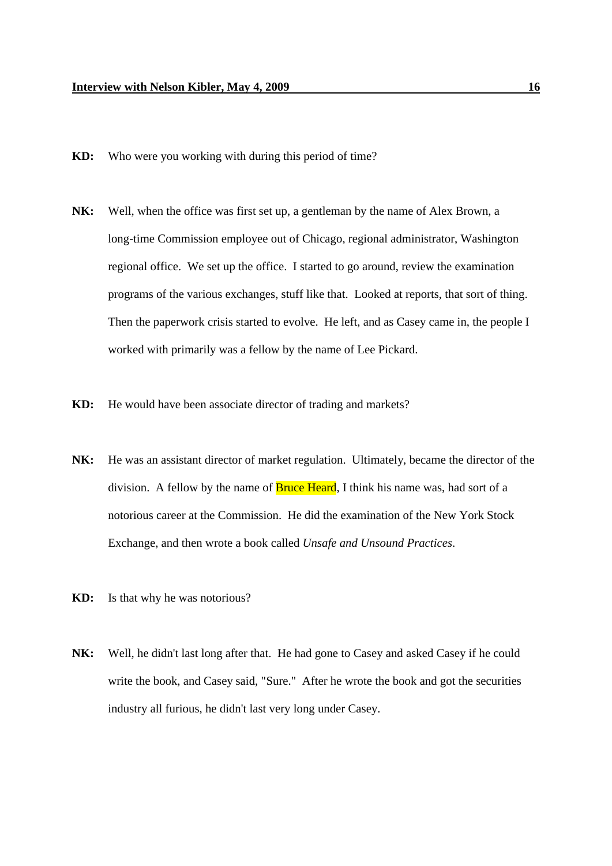- **KD:** Who were you working with during this period of time?
- **NK:** Well, when the office was first set up, a gentleman by the name of Alex Brown, a long-time Commission employee out of Chicago, regional administrator, Washington regional office. We set up the office. I started to go around, review the examination programs of the various exchanges, stuff like that. Looked at reports, that sort of thing. Then the paperwork crisis started to evolve. He left, and as Casey came in, the people I worked with primarily was a fellow by the name of Lee Pickard.
- **KD:** He would have been associate director of trading and markets?
- **NK:** He was an assistant director of market regulation. Ultimately, became the director of the division. A fellow by the name of **Bruce Heard**, I think his name was, had sort of a notorious career at the Commission. He did the examination of the New York Stock Exchange, and then wrote a book called *Unsafe and Unsound Practices*.
- **KD:** Is that why he was notorious?
- **NK:** Well, he didn't last long after that. He had gone to Casey and asked Casey if he could write the book, and Casey said, "Sure." After he wrote the book and got the securities industry all furious, he didn't last very long under Casey.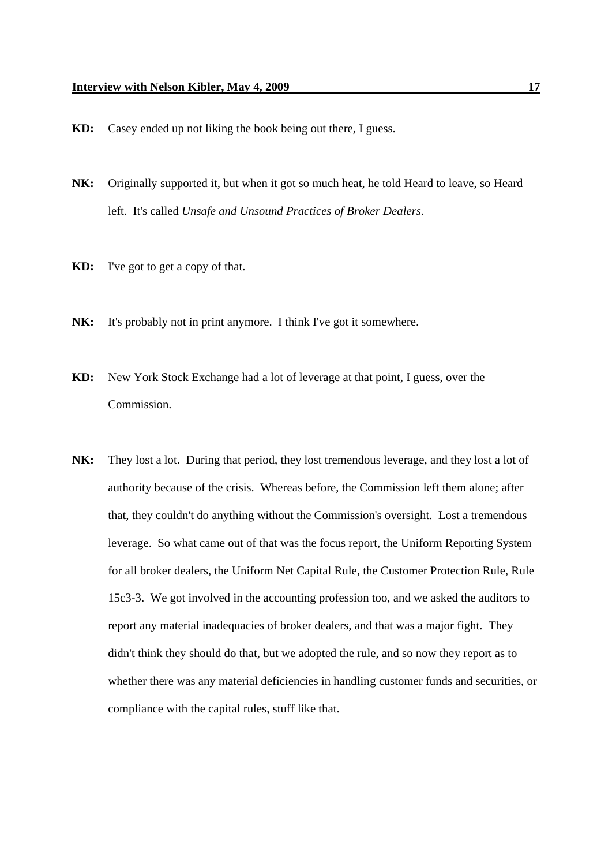- **KD:** Casey ended up not liking the book being out there, I guess.
- **NK:** Originally supported it, but when it got so much heat, he told Heard to leave, so Heard left. It's called *Unsafe and Unsound Practices of Broker Dealers*.
- **KD:** I've got to get a copy of that.
- **NK:** It's probably not in print anymore. I think I've got it somewhere.
- **KD:** New York Stock Exchange had a lot of leverage at that point, I guess, over the Commission.
- **NK:** They lost a lot. During that period, they lost tremendous leverage, and they lost a lot of authority because of the crisis. Whereas before, the Commission left them alone; after that, they couldn't do anything without the Commission's oversight. Lost a tremendous leverage. So what came out of that was the focus report, the Uniform Reporting System for all broker dealers, the Uniform Net Capital Rule, the Customer Protection Rule, Rule 15c3-3. We got involved in the accounting profession too, and we asked the auditors to report any material inadequacies of broker dealers, and that was a major fight. They didn't think they should do that, but we adopted the rule, and so now they report as to whether there was any material deficiencies in handling customer funds and securities, or compliance with the capital rules, stuff like that.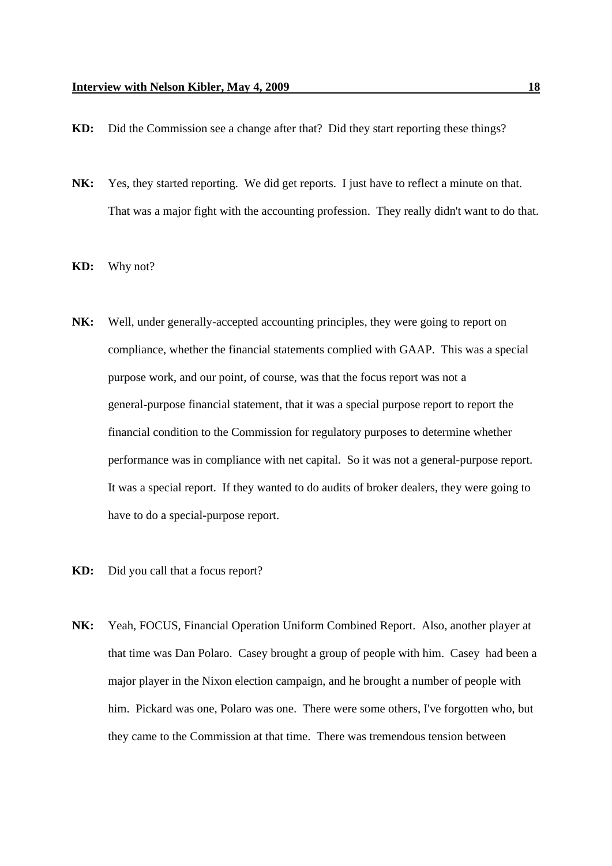- **KD:** Did the Commission see a change after that? Did they start reporting these things?
- **NK:** Yes, they started reporting. We did get reports. I just have to reflect a minute on that. That was a major fight with the accounting profession. They really didn't want to do that.
- **KD:** Why not?
- **NK:** Well, under generally-accepted accounting principles, they were going to report on compliance, whether the financial statements complied with GAAP. This was a special purpose work, and our point, of course, was that the focus report was not a general-purpose financial statement, that it was a special purpose report to report the financial condition to the Commission for regulatory purposes to determine whether performance was in compliance with net capital. So it was not a general-purpose report. It was a special report. If they wanted to do audits of broker dealers, they were going to have to do a special-purpose report.
- **KD:** Did you call that a focus report?
- **NK:** Yeah, FOCUS, Financial Operation Uniform Combined Report. Also, another player at that time was Dan Polaro. Casey brought a group of people with him. Casey had been a major player in the Nixon election campaign, and he brought a number of people with him. Pickard was one, Polaro was one. There were some others, I've forgotten who, but they came to the Commission at that time. There was tremendous tension between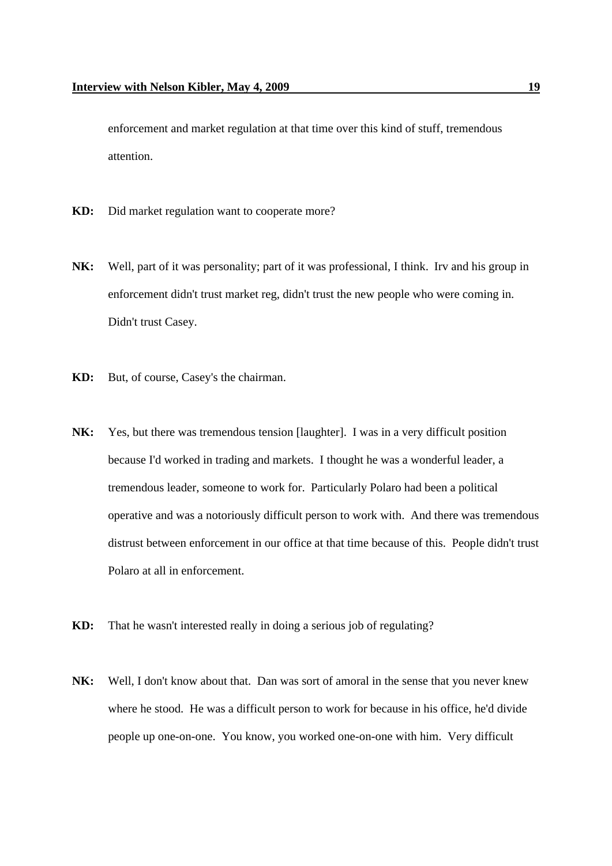enforcement and market regulation at that time over this kind of stuff, tremendous attention.

- **KD:** Did market regulation want to cooperate more?
- **NK:** Well, part of it was personality; part of it was professional, I think. Irv and his group in enforcement didn't trust market reg, didn't trust the new people who were coming in. Didn't trust Casey.
- **KD:** But, of course, Casey's the chairman.
- **NK:** Yes, but there was tremendous tension [laughter]. I was in a very difficult position because I'd worked in trading and markets. I thought he was a wonderful leader, a tremendous leader, someone to work for. Particularly Polaro had been a political operative and was a notoriously difficult person to work with. And there was tremendous distrust between enforcement in our office at that time because of this. People didn't trust Polaro at all in enforcement.
- **KD:** That he wasn't interested really in doing a serious job of regulating?
- **NK:** Well, I don't know about that. Dan was sort of amoral in the sense that you never knew where he stood. He was a difficult person to work for because in his office, he'd divide people up one-on-one. You know, you worked one-on-one with him. Very difficult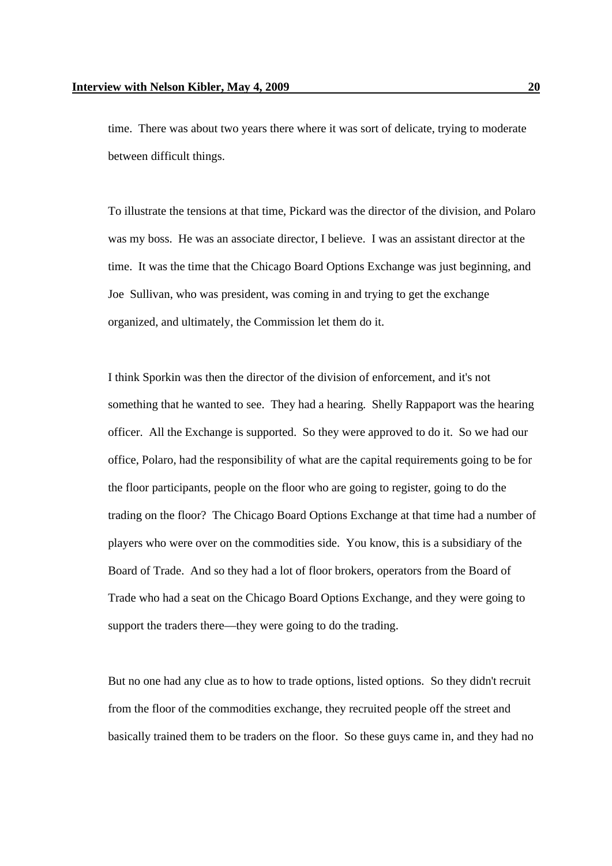time. There was about two years there where it was sort of delicate, trying to moderate between difficult things.

To illustrate the tensions at that time, Pickard was the director of the division, and Polaro was my boss. He was an associate director, I believe. I was an assistant director at the time. It was the time that the Chicago Board Options Exchange was just beginning, and Joe Sullivan, who was president, was coming in and trying to get the exchange organized, and ultimately, the Commission let them do it.

I think Sporkin was then the director of the division of enforcement, and it's not something that he wanted to see. They had a hearing. Shelly Rappaport was the hearing officer. All the Exchange is supported. So they were approved to do it. So we had our office, Polaro, had the responsibility of what are the capital requirements going to be for the floor participants, people on the floor who are going to register, going to do the trading on the floor? The Chicago Board Options Exchange at that time had a number of players who were over on the commodities side. You know, this is a subsidiary of the Board of Trade. And so they had a lot of floor brokers, operators from the Board of Trade who had a seat on the Chicago Board Options Exchange, and they were going to support the traders there—they were going to do the trading.

But no one had any clue as to how to trade options, listed options. So they didn't recruit from the floor of the commodities exchange, they recruited people off the street and basically trained them to be traders on the floor. So these guys came in, and they had no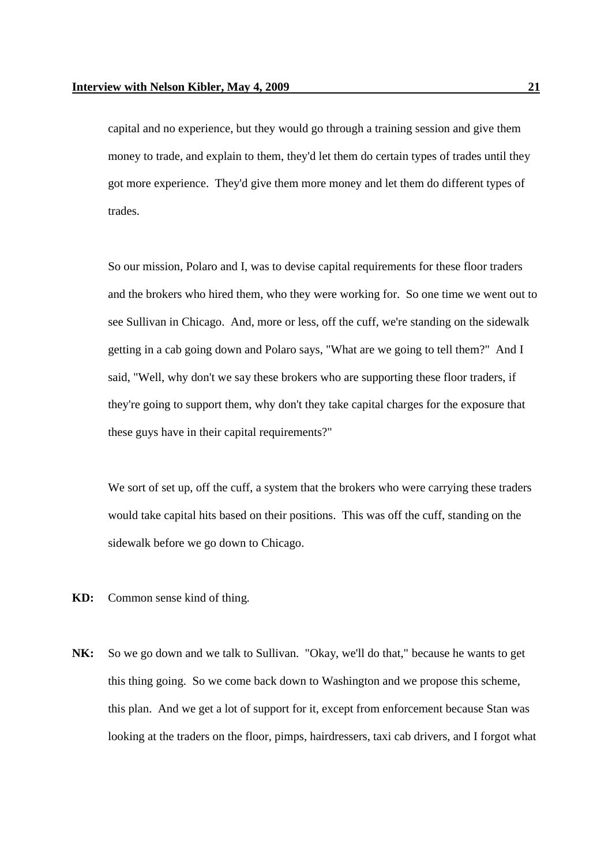capital and no experience, but they would go through a training session and give them money to trade, and explain to them, they'd let them do certain types of trades until they got more experience. They'd give them more money and let them do different types of trades.

So our mission, Polaro and I, was to devise capital requirements for these floor traders and the brokers who hired them, who they were working for. So one time we went out to see Sullivan in Chicago. And, more or less, off the cuff, we're standing on the sidewalk getting in a cab going down and Polaro says, "What are we going to tell them?" And I said, "Well, why don't we say these brokers who are supporting these floor traders, if they're going to support them, why don't they take capital charges for the exposure that these guys have in their capital requirements?"

We sort of set up, off the cuff, a system that the brokers who were carrying these traders would take capital hits based on their positions. This was off the cuff, standing on the sidewalk before we go down to Chicago.

- **KD:** Common sense kind of thing.
- **NK:** So we go down and we talk to Sullivan. "Okay, we'll do that," because he wants to get this thing going. So we come back down to Washington and we propose this scheme, this plan. And we get a lot of support for it, except from enforcement because Stan was looking at the traders on the floor, pimps, hairdressers, taxi cab drivers, and I forgot what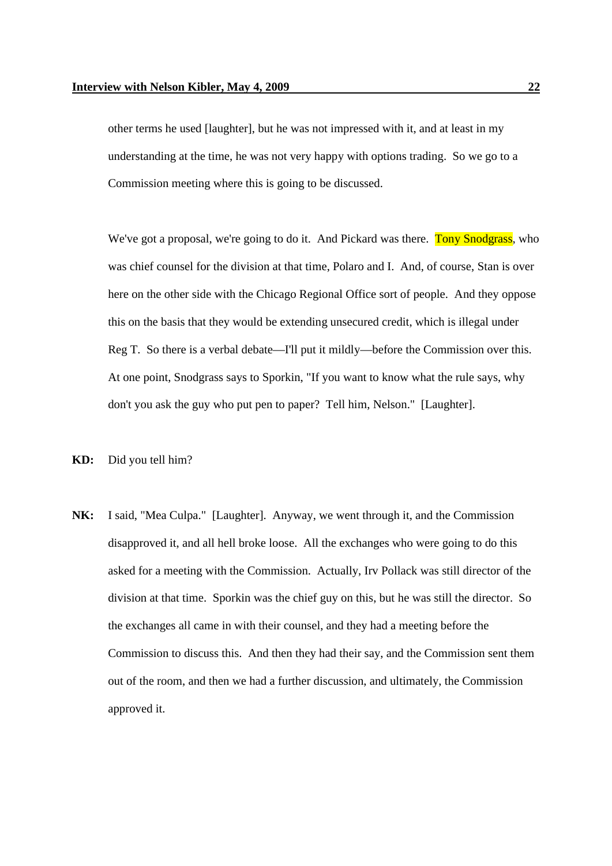other terms he used [laughter], but he was not impressed with it, and at least in my understanding at the time, he was not very happy with options trading. So we go to a Commission meeting where this is going to be discussed.

We've got a proposal, we're going to do it. And Pickard was there. Tony Snodgrass, who was chief counsel for the division at that time, Polaro and I. And, of course, Stan is over here on the other side with the Chicago Regional Office sort of people. And they oppose this on the basis that they would be extending unsecured credit, which is illegal under Reg T. So there is a verbal debate—I'll put it mildly—before the Commission over this. At one point, Snodgrass says to Sporkin, "If you want to know what the rule says, why don't you ask the guy who put pen to paper? Tell him, Nelson." [Laughter].

**KD:** Did you tell him?

**NK:** I said, "Mea Culpa." [Laughter]. Anyway, we went through it, and the Commission disapproved it, and all hell broke loose. All the exchanges who were going to do this asked for a meeting with the Commission. Actually, Irv Pollack was still director of the division at that time. Sporkin was the chief guy on this, but he was still the director. So the exchanges all came in with their counsel, and they had a meeting before the Commission to discuss this. And then they had their say, and the Commission sent them out of the room, and then we had a further discussion, and ultimately, the Commission approved it.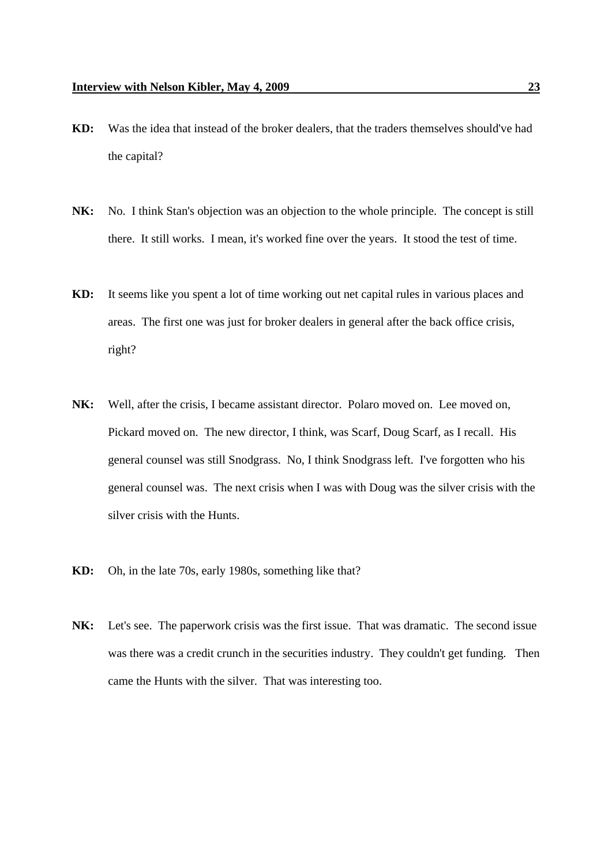- **KD:** Was the idea that instead of the broker dealers, that the traders themselves should've had the capital?
- **NK:** No. I think Stan's objection was an objection to the whole principle. The concept is still there. It still works. I mean, it's worked fine over the years. It stood the test of time.
- **KD:** It seems like you spent a lot of time working out net capital rules in various places and areas. The first one was just for broker dealers in general after the back office crisis, right?
- **NK:** Well, after the crisis, I became assistant director. Polaro moved on. Lee moved on, Pickard moved on. The new director, I think, was Scarf, Doug Scarf, as I recall. His general counsel was still Snodgrass. No, I think Snodgrass left. I've forgotten who his general counsel was. The next crisis when I was with Doug was the silver crisis with the silver crisis with the Hunts.
- **KD:** Oh, in the late 70s, early 1980s, something like that?
- **NK:** Let's see. The paperwork crisis was the first issue. That was dramatic. The second issue was there was a credit crunch in the securities industry. They couldn't get funding. Then came the Hunts with the silver. That was interesting too.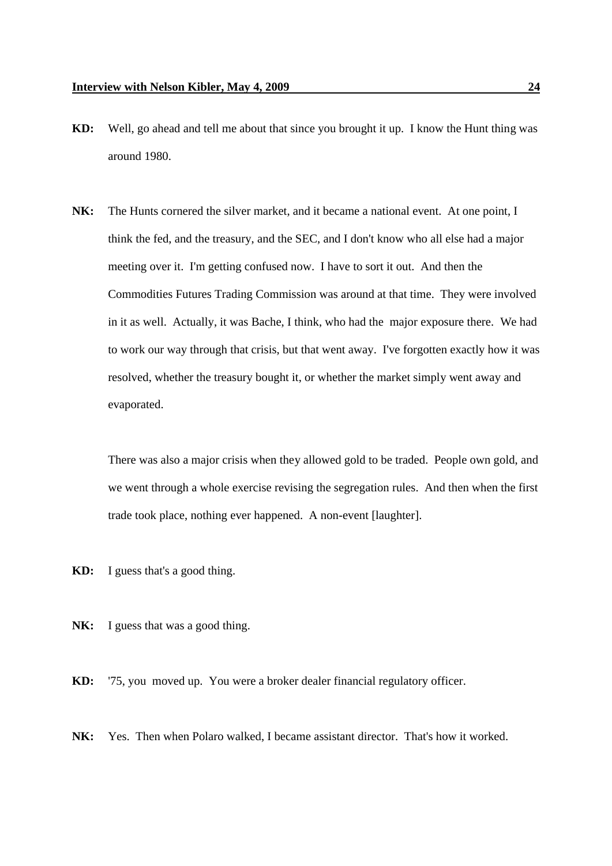- **KD:** Well, go ahead and tell me about that since you brought it up. I know the Hunt thing was around 1980.
- **NK:** The Hunts cornered the silver market, and it became a national event. At one point, I think the fed, and the treasury, and the SEC, and I don't know who all else had a major meeting over it. I'm getting confused now. I have to sort it out. And then the Commodities Futures Trading Commission was around at that time. They were involved in it as well. Actually, it was Bache, I think, who had the major exposure there. We had to work our way through that crisis, but that went away. I've forgotten exactly how it was resolved, whether the treasury bought it, or whether the market simply went away and evaporated.

There was also a major crisis when they allowed gold to be traded. People own gold, and we went through a whole exercise revising the segregation rules. And then when the first trade took place, nothing ever happened. A non-event [laughter].

- **KD:** I guess that's a good thing.
- NK: I guess that was a good thing.

**KD:** '75, you moved up. You were a broker dealer financial regulatory officer.

**NK:** Yes. Then when Polaro walked, I became assistant director. That's how it worked.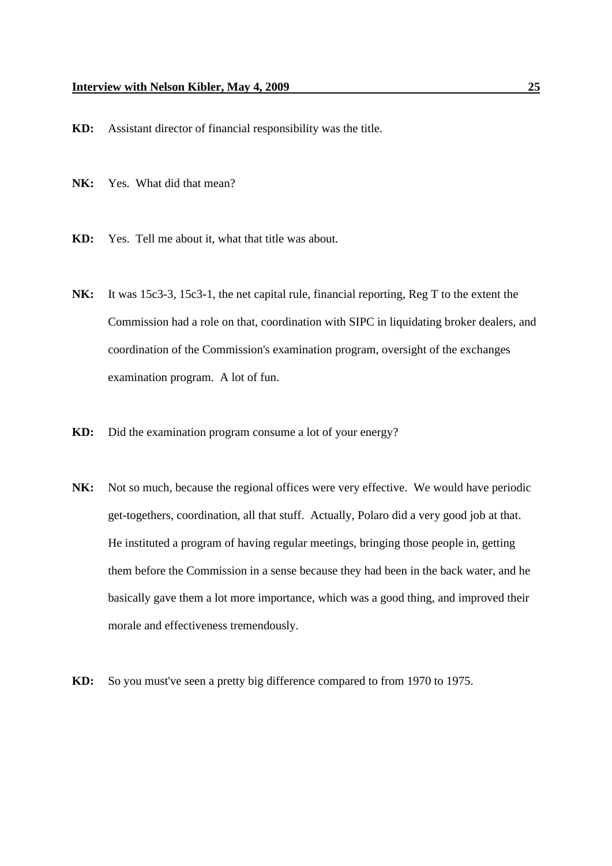**KD:** Assistant director of financial responsibility was the title.

**NK:** Yes. What did that mean?

- **KD:** Yes. Tell me about it, what that title was about.
- **NK:** It was 15c3-3, 15c3-1, the net capital rule, financial reporting, Reg T to the extent the Commission had a role on that, coordination with SIPC in liquidating broker dealers, and coordination of the Commission's examination program, oversight of the exchanges examination program. A lot of fun.
- **KD:** Did the examination program consume a lot of your energy?
- **NK:** Not so much, because the regional offices were very effective. We would have periodic get-togethers, coordination, all that stuff. Actually, Polaro did a very good job at that. He instituted a program of having regular meetings, bringing those people in, getting them before the Commission in a sense because they had been in the back water, and he basically gave them a lot more importance, which was a good thing, and improved their morale and effectiveness tremendously.
- **KD:** So you must've seen a pretty big difference compared to from 1970 to 1975.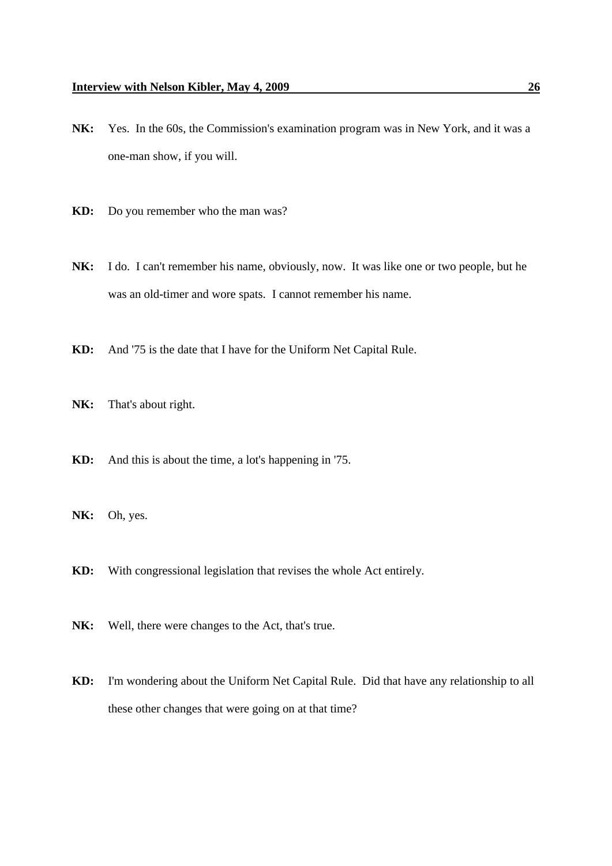- **NK:** Yes. In the 60s, the Commission's examination program was in New York, and it was a one-man show, if you will.
- **KD:** Do you remember who the man was?
- **NK:** I do. I can't remember his name, obviously, now. It was like one or two people, but he was an old-timer and wore spats. I cannot remember his name.
- **KD:** And '75 is the date that I have for the Uniform Net Capital Rule.
- **NK:** That's about right.
- **KD:** And this is about the time, a lot's happening in '75.
- **NK:** Oh, yes.
- **KD:** With congressional legislation that revises the whole Act entirely.
- **NK:** Well, there were changes to the Act, that's true.
- **KD:** I'm wondering about the Uniform Net Capital Rule. Did that have any relationship to all these other changes that were going on at that time?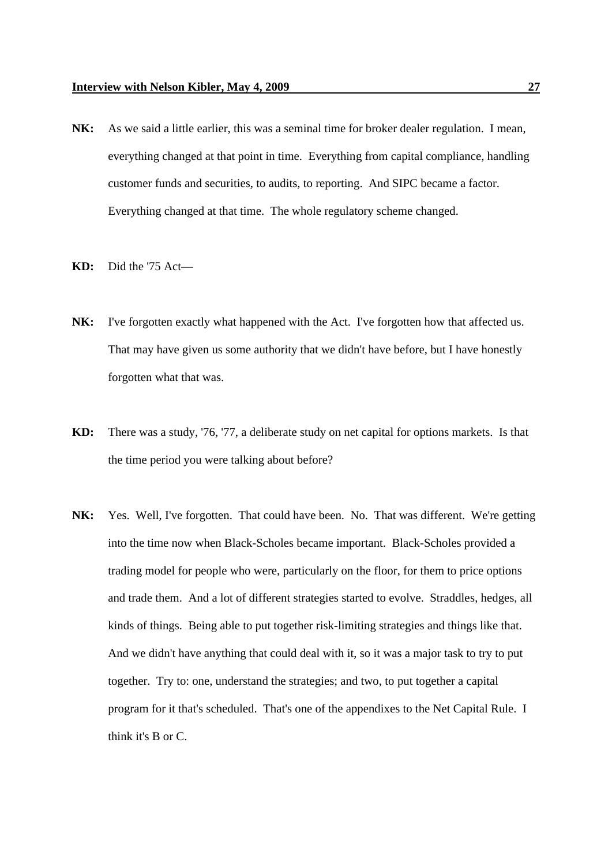- **NK:** As we said a little earlier, this was a seminal time for broker dealer regulation. I mean, everything changed at that point in time. Everything from capital compliance, handling customer funds and securities, to audits, to reporting. And SIPC became a factor. Everything changed at that time. The whole regulatory scheme changed.
- **KD:** Did the '75 Act—
- **NK:** I've forgotten exactly what happened with the Act. I've forgotten how that affected us. That may have given us some authority that we didn't have before, but I have honestly forgotten what that was.
- **KD:** There was a study, '76, '77, a deliberate study on net capital for options markets. Is that the time period you were talking about before?
- **NK:** Yes. Well, I've forgotten. That could have been. No. That was different. We're getting into the time now when Black-Scholes became important. Black-Scholes provided a trading model for people who were, particularly on the floor, for them to price options and trade them. And a lot of different strategies started to evolve. Straddles, hedges, all kinds of things. Being able to put together risk-limiting strategies and things like that. And we didn't have anything that could deal with it, so it was a major task to try to put together. Try to: one, understand the strategies; and two, to put together a capital program for it that's scheduled. That's one of the appendixes to the Net Capital Rule. I think it's B or C.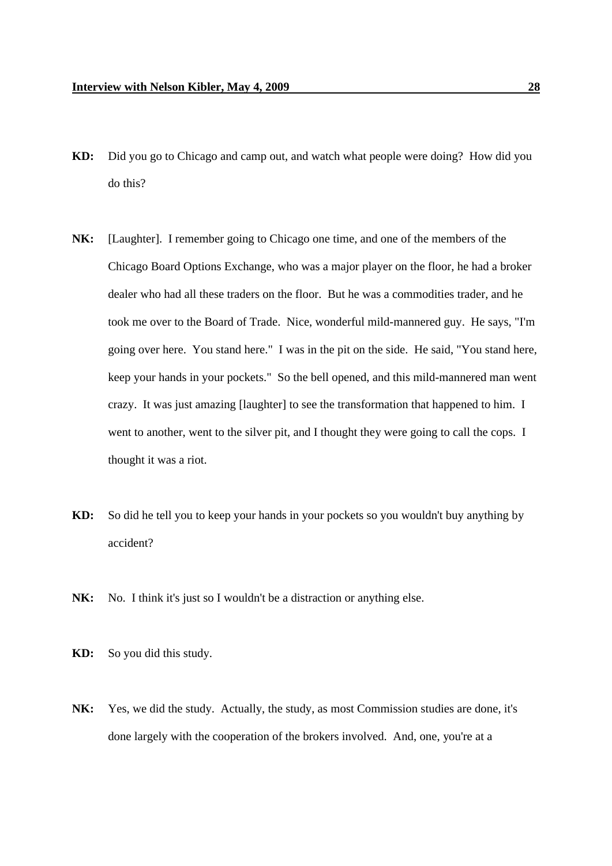- **KD:** Did you go to Chicago and camp out, and watch what people were doing? How did you do this?
- **NK:** [Laughter]. I remember going to Chicago one time, and one of the members of the Chicago Board Options Exchange, who was a major player on the floor, he had a broker dealer who had all these traders on the floor. But he was a commodities trader, and he took me over to the Board of Trade. Nice, wonderful mild-mannered guy. He says, "I'm going over here. You stand here." I was in the pit on the side. He said, "You stand here, keep your hands in your pockets." So the bell opened, and this mild-mannered man went crazy. It was just amazing [laughter] to see the transformation that happened to him. I went to another, went to the silver pit, and I thought they were going to call the cops. I thought it was a riot.
- **KD:** So did he tell you to keep your hands in your pockets so you wouldn't buy anything by accident?
- NK: No. I think it's just so I wouldn't be a distraction or anything else.
- **KD:** So you did this study.
- **NK:** Yes, we did the study. Actually, the study, as most Commission studies are done, it's done largely with the cooperation of the brokers involved. And, one, you're at a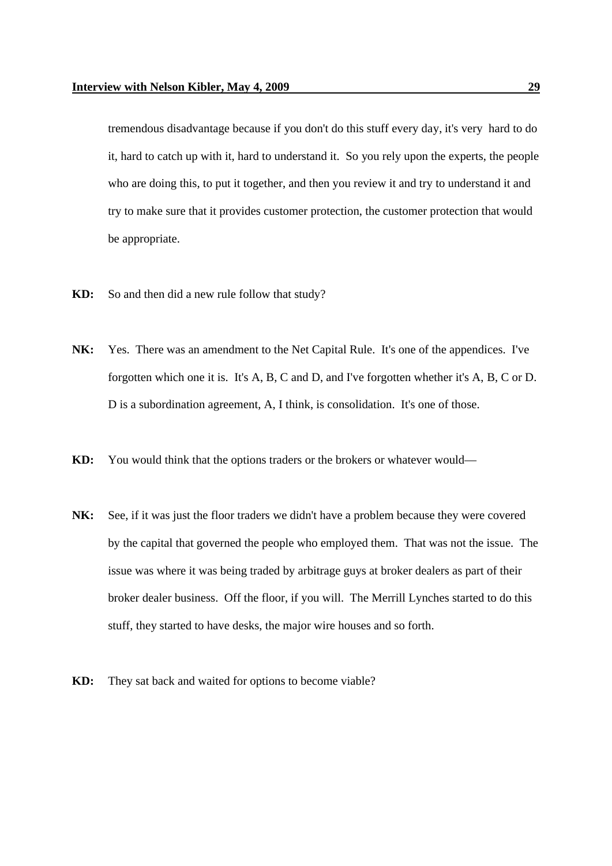tremendous disadvantage because if you don't do this stuff every day, it's very hard to do it, hard to catch up with it, hard to understand it. So you rely upon the experts, the people who are doing this, to put it together, and then you review it and try to understand it and try to make sure that it provides customer protection, the customer protection that would be appropriate.

- **KD:** So and then did a new rule follow that study?
- **NK:** Yes. There was an amendment to the Net Capital Rule. It's one of the appendices. I've forgotten which one it is. It's A, B, C and D, and I've forgotten whether it's A, B, C or D. D is a subordination agreement, A, I think, is consolidation. It's one of those.
- **KD:** You would think that the options traders or the brokers or whatever would—
- **NK:** See, if it was just the floor traders we didn't have a problem because they were covered by the capital that governed the people who employed them. That was not the issue. The issue was where it was being traded by arbitrage guys at broker dealers as part of their broker dealer business. Off the floor, if you will. The Merrill Lynches started to do this stuff, they started to have desks, the major wire houses and so forth.
- **KD:** They sat back and waited for options to become viable?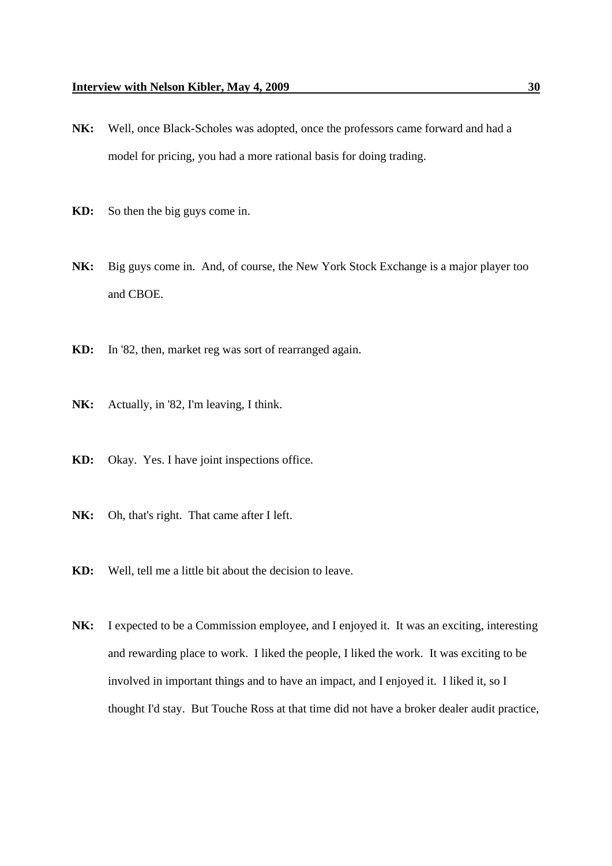- **NK:** Well, once Black-Scholes was adopted, once the professors came forward and had a model for pricing, you had a more rational basis for doing trading.
- **KD:** So then the big guys come in.
- **NK:** Big guys come in. And, of course, the New York Stock Exchange is a major player too and CBOE.
- **KD:** In '82, then, market reg was sort of rearranged again.
- **NK:** Actually, in '82, I'm leaving, I think.
- **KD:** Okay. Yes. I have joint inspections office.
- **NK:** Oh, that's right. That came after I left.
- **KD:** Well, tell me a little bit about the decision to leave.
- **NK:** I expected to be a Commission employee, and I enjoyed it. It was an exciting, interesting and rewarding place to work. I liked the people, I liked the work. It was exciting to be involved in important things and to have an impact, and I enjoyed it. I liked it, so I thought I'd stay. But Touche Ross at that time did not have a broker dealer audit practice,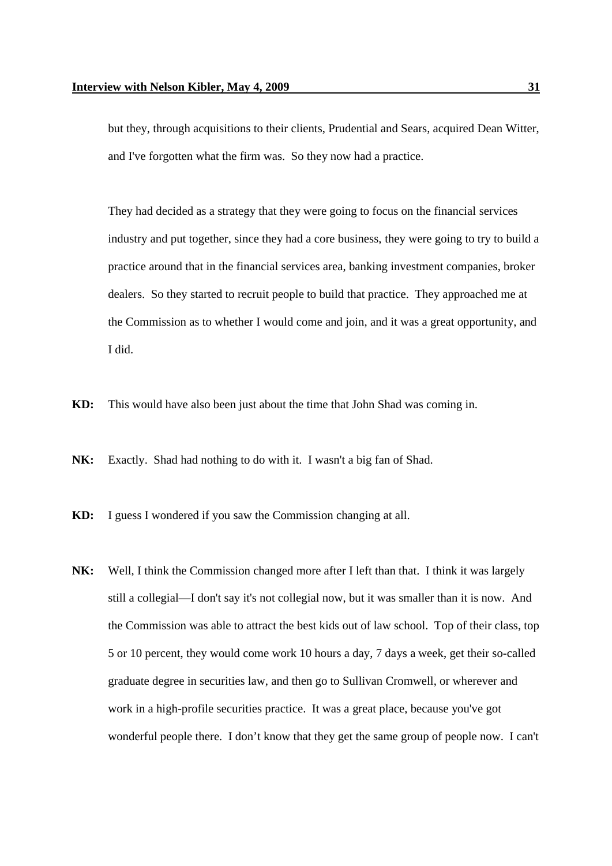but they, through acquisitions to their clients, Prudential and Sears, acquired Dean Witter, and I've forgotten what the firm was. So they now had a practice.

They had decided as a strategy that they were going to focus on the financial services industry and put together, since they had a core business, they were going to try to build a practice around that in the financial services area, banking investment companies, broker dealers. So they started to recruit people to build that practice. They approached me at the Commission as to whether I would come and join, and it was a great opportunity, and I did.

**KD:** This would have also been just about the time that John Shad was coming in.

**NK:** Exactly. Shad had nothing to do with it. I wasn't a big fan of Shad.

**KD:** I guess I wondered if you saw the Commission changing at all.

**NK:** Well, I think the Commission changed more after I left than that. I think it was largely still a collegial—I don't say it's not collegial now, but it was smaller than it is now. And the Commission was able to attract the best kids out of law school. Top of their class, top 5 or 10 percent, they would come work 10 hours a day, 7 days a week, get their so-called graduate degree in securities law, and then go to Sullivan Cromwell, or wherever and work in a high-profile securities practice. It was a great place, because you've got wonderful people there. I don't know that they get the same group of people now. I can't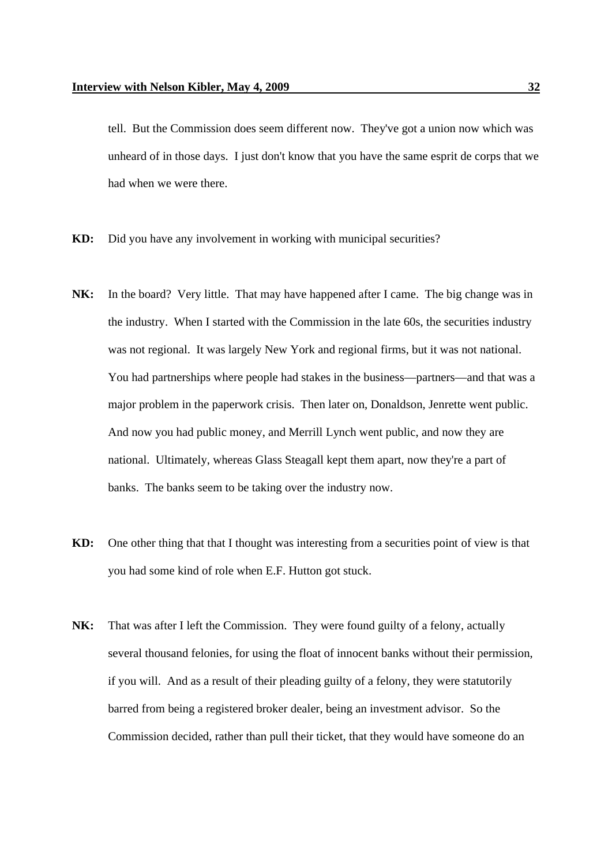tell. But the Commission does seem different now. They've got a union now which was unheard of in those days. I just don't know that you have the same esprit de corps that we had when we were there.

- **KD:** Did you have any involvement in working with municipal securities?
- **NK:** In the board? Very little. That may have happened after I came. The big change was in the industry. When I started with the Commission in the late 60s, the securities industry was not regional. It was largely New York and regional firms, but it was not national. You had partnerships where people had stakes in the business—partners—and that was a major problem in the paperwork crisis. Then later on, Donaldson, Jenrette went public. And now you had public money, and Merrill Lynch went public, and now they are national. Ultimately, whereas Glass Steagall kept them apart, now they're a part of banks. The banks seem to be taking over the industry now.
- **KD:** One other thing that that I thought was interesting from a securities point of view is that you had some kind of role when E.F. Hutton got stuck.
- **NK:** That was after I left the Commission. They were found guilty of a felony, actually several thousand felonies, for using the float of innocent banks without their permission, if you will. And as a result of their pleading guilty of a felony, they were statutorily barred from being a registered broker dealer, being an investment advisor. So the Commission decided, rather than pull their ticket, that they would have someone do an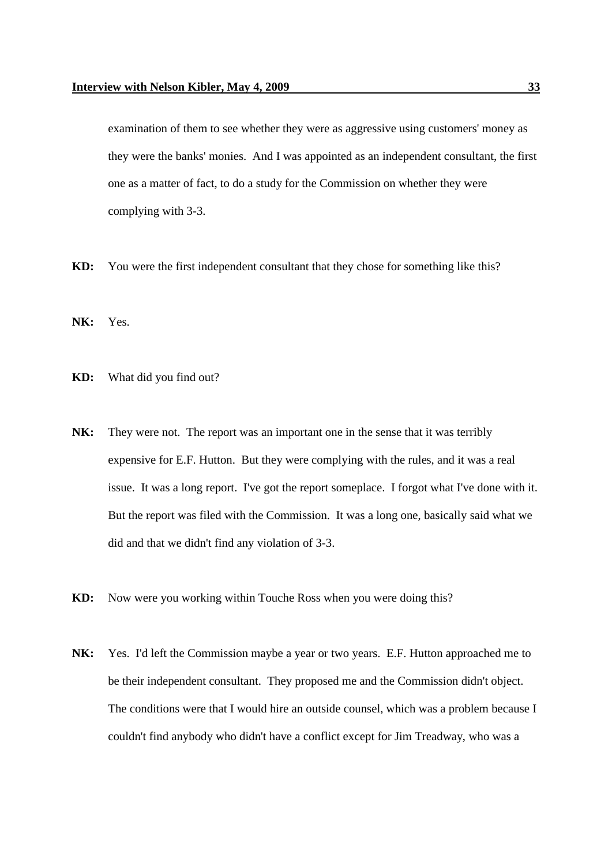examination of them to see whether they were as aggressive using customers' money as they were the banks' monies. And I was appointed as an independent consultant, the first one as a matter of fact, to do a study for the Commission on whether they were complying with 3-3.

- **KD:** You were the first independent consultant that they chose for something like this?
- **NK:** Yes.
- **KD:** What did you find out?
- **NK:** They were not. The report was an important one in the sense that it was terribly expensive for E.F. Hutton. But they were complying with the rules, and it was a real issue. It was a long report. I've got the report someplace. I forgot what I've done with it. But the report was filed with the Commission. It was a long one, basically said what we did and that we didn't find any violation of 3-3.
- **KD:** Now were you working within Touche Ross when you were doing this?
- **NK:** Yes. I'd left the Commission maybe a year or two years. E.F. Hutton approached me to be their independent consultant. They proposed me and the Commission didn't object. The conditions were that I would hire an outside counsel, which was a problem because I couldn't find anybody who didn't have a conflict except for Jim Treadway, who was a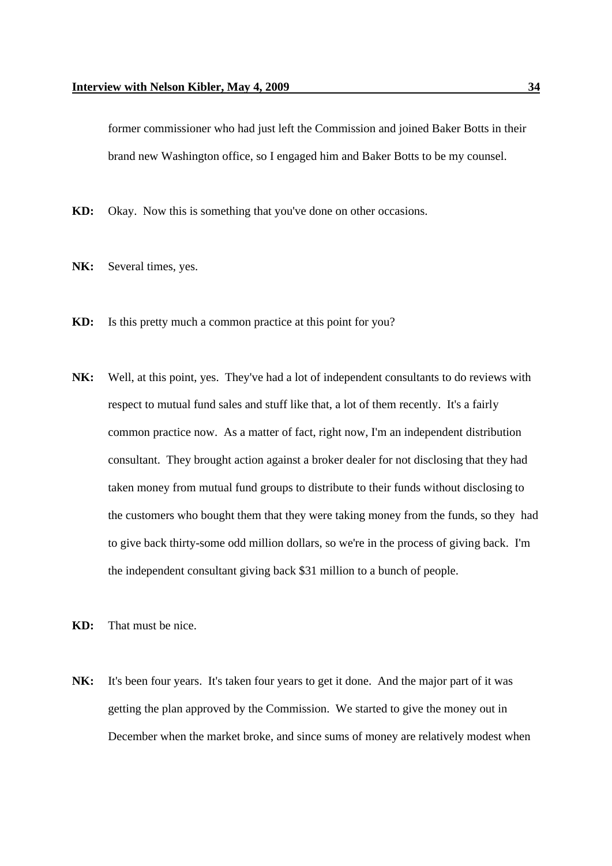former commissioner who had just left the Commission and joined Baker Botts in their brand new Washington office, so I engaged him and Baker Botts to be my counsel.

**KD:** Okay. Now this is something that you've done on other occasions.

- NK: Several times, yes.
- **KD:** Is this pretty much a common practice at this point for you?
- **NK:** Well, at this point, yes. They've had a lot of independent consultants to do reviews with respect to mutual fund sales and stuff like that, a lot of them recently. It's a fairly common practice now. As a matter of fact, right now, I'm an independent distribution consultant. They brought action against a broker dealer for not disclosing that they had taken money from mutual fund groups to distribute to their funds without disclosing to the customers who bought them that they were taking money from the funds, so they had to give back thirty-some odd million dollars, so we're in the process of giving back. I'm the independent consultant giving back \$31 million to a bunch of people.
- **KD:** That must be nice.
- **NK:** It's been four years. It's taken four years to get it done. And the major part of it was getting the plan approved by the Commission. We started to give the money out in December when the market broke, and since sums of money are relatively modest when